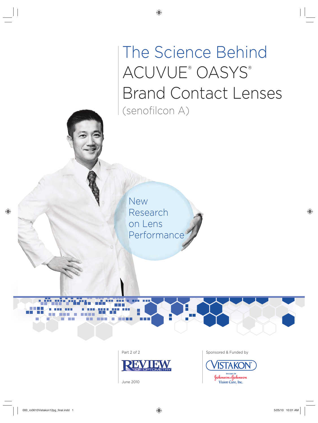# The Science Behind ACUVUE® OASYS® Brand Contact Lenses (senofilcon A)

New Research on Lens Performance

**BOOK** 

**TIME** 



June 2010

Part 2 of 2 Sponsored & Funded by

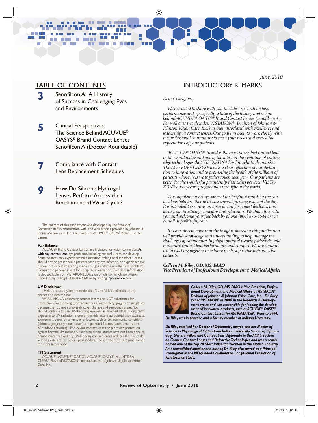# TABLE OF CONTENTS

**CONTRACTOR** 

m in n

**3** Senofilcon A: A History of Success in Challenging Eyes and Environments

 $\blacksquare$ **THE**  a a s

- **5** Clinical Perspectives: The Science Behind ACUVUE® OASYS® Brand Contact Lenses Senofilcon A (Doctor Roundtable)
- **7** Compliance with Contact Lens Replacement Schedules
- **9** How Do Silicone Hydrogel Lenses Perform Across their Recommended Wear Cycle?

The content of this supplement was developed by the *Review of Optometry* staff in consultation with, and with funding provided by, Johnson & Johnson Vision Care, Inc., the makers of ACUVUE® OASYS® Brand Contact Lenses.

#### **Fair Balance**

ACUVUE® Brand Contact Lenses are indicated for vision correction. As with any contact lens, eye problems, including corneal ulcers, can develop. Some wearers may experience mild irritation, itching or discomfort. Lenses should not be prescribed if patients have any eye infection, or experience eye discomfort, excessive tearing, vision changes, redness or other eye problems. Consult the package insert for complete information. Complete information is also available from VISTAKON®, Division of Johnson & Johnson Vision Care, Inc., by calling 1-800-843-2020 or by visiting jnjvisioncare.com.

#### **UV Disclaimer**

‡Helps protect against transmission of harmful UV radiation to the cornea and into the eye.

WARNING: UV-absorbing contact lenses are NOT substitutes for protective UV-absorbing eyewear such as UV-absorbing goggles or sunglasses because they do not completely cover the eye and surrounding area. You should continue to use UV-absorbing eyewear as directed. NOTE: Long-term exposure to UV radiation is one of the risk factors associated with cataracts. Exposure is based on a number of factors such as environmental conditions (altitude, geography, cloud cover) and personal factors (extent and nature of outdoor activities). UV-blocking contact lenses help provide protection against harmful UV radiation. However, clinical studies have not been done to demonstrate that wearing UV-blocking contact lenses reduces the risk of developing cataracts or other eye disorders. Consult your eye care practitioner for more information.

#### **TM Statement**

ACUVUE®, ACUVUE® OASYS®, ACUVUE® OASYS® with HYDRA-CLEAR® Plus and VISTAKON® are trademarks of Johnson & Johnson Vision Care, Inc.

## *June, 2010* INTRODUCTORY REMARKS

#### *Dear Colleagues,*

*We're excited to share with you the latest research on lens performance and, specifically, a little of the history and science behind ACUVUE® OASYS® Brand Contact Lenses (senofi lcon A). For well over two decades, VISTAKON®, Division of Johnson & Johnson Vision Care, Inc. has been associated with excellence and leadership in contact lenses. Our goal has been to work closely with the professional community to meet your needs and exceed the expectations of your patients.* 

*ACUVUE® OASYS® Brand is the most prescribed contact lens in the world today and one of the latest in the evolution of cutting edge technologies that VISTAKON® has brought to the market. The ACUVUE® OASYS® lens is a clear refl ection of our dedication to innovation and to promoting the health of the millions of patients whose lives we together touch each year. Our patients are better for the wonderful partnership that exists between VISTA-KON® and eyecare professionals throughout the world.* 

*This supplement brings some of the brightest minds in the contact lens field together to discuss several pressing issues of the day. It is intended to serve as an open forum for honest feedback and ideas from practicing clinicians and educators. We share this with you and welcome your feedback by phone (800) 876-6644 or via e-mail at pa@its.jnj.com.*

*It is our sincere hope that the insights shared in this publication will provide knowledge and understanding to help manage the challenges of compliance, highlight optimal wearing schedule, and maximize contact lens performance and comfort. We are committed to working together to achieve the best possible outcomes for patients.*

*Colleen M. Riley, OD, MS, FAAO Vice President of Professional Development & Medical Affairs*



*Colleen M. Riley, OD, MS, FAAO is Vice President, Professional Development and Medical Affairs at VISTAKON®, Division of Johnson & Johnson Vision Care, Inc. Dr. Riley joined VISTAKON® in 2004, in the Research & Development group and was responsible for leading the development of innovative products, such as ACUVUE® OASYS® Brand Contact Lenses for ASTIGMATISM. Prior to 2004,* 

*Dr. Riley was in practice and a faculty member at Indiana University.*

*Dr. Riley received her Doctor of Optometry degree and her Master of Science in Physiological Optics from Indiana University School of Optometry. She is a Fellow and Contact Lens Diplomate in the AOA's Section on Cornea, Contact Lenses and Refractive Technologies and was recently*  named one of the top 20 Most Influential Women in the Optical Industry. *An accomplished speaker and author, Dr. Riley also served as a Principal Investigator in the NEI-funded Collaborative Longitudinal Evaluation of Keratoconus Study.*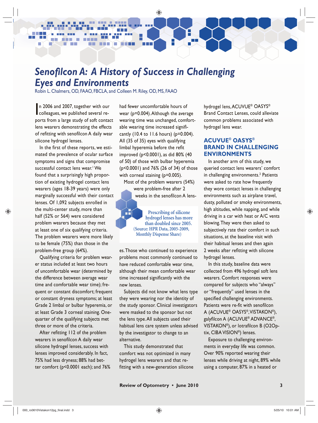# **Senofilcon A: A History of Success in Challenging** *Eyes and Environments*

8 B

Robin L. Chalmers, OD, FAAO, FBCLA, and Colleen M. Riley, OD, MS, FAAO

In 2006 and 2007, together with our colleagues, we published several ren 2006 and 2007, together with our ports from a large study of soft contact lens wearers demonstrating the effects of refitting with senofilcon A daily wear silicone hydrogel lenses.

In the first of these reports, we estimated the prevalence of ocular surface symptoms and signs that compromise successful contact lens wear.' We found that a surprisingly high proportion of existing hydrogel contact lens wearers (ages 18-39 years) were only marginally successful with their contact lenses. Of 1,092 subjects enrolled in the multi-center study, more than half (52% or 564) were considered problem wearers because they met at least one of six qualifying criteria. The problem wearers were more likely to be female (75%) than those in the problem-free group (64%).

Qualifying criteria for problem wearer status included at least two hours of uncomfortable wear (determined by the difference between average wear time and comfortable wear time); frequent or constant discomfort; frequent or constant dryness symptoms; at least Grade 2 limbal or bulbar hyperemia, or at least Grade 3 corneal staining. Onequarter of the qualifying subjects met three or more of the criteria.

After refitting 112 of the problem wearers in senofilcon A daily wear silicone hydrogel lenses, success with lenses improved considerably. In fact, 75% had less dryness; 88% had better comfort (p<0.0001 each); and 76%

had fewer uncomfortable hours of wear (p=0.004). Although the average wearing time was unchanged, comfortable wearing time increased significantly (10.4 to 11.6 hours) ( $p=0.004$ ). All (35 of 35) eyes with qualifying limbal hyperemia before the refit improved (p<0.0001), as did 80% (40 of 50) of those with bulbar hyperemia (p<0.0001) and 76% (26 of 34) of those with corneal staining (p=0.005).

H

Most of the problem wearers (54%) were problem-free after 2 weeks in the senofilcon A lens-

> **Prescribing of silicone hydrogel lenses has more than doubled since 2005. (Source: HPR Data, 2005-2009, Monthly Dispense Share)**

es. Those who continued to experience problems most commonly continued to have reduced comfortable wear time, although their mean comfortable wear time increased significantly with the new lenses.

Subjects did not know what lens type they were wearing nor the identity of the study sponsor. Clinical investigators were masked to the sponsor but not the lens type. All subjects used their habitual lens care system unless advised by the investigator to change to an alternative.

This study demonstrated that comfort was not optimized in many hydrogel lens wearers and that refitting with a new-generation silicone hydrogel lens, ACUVUE® OASYS® Brand Contact Lenses, could alleviate common problems associated with hydrogel lens wear.

# **ACUVUE® OASYS® BRAND IN CHALLENGING ENVIRONMENTS**

In another arm of this study, we queried contact lens wearers' comfort in challenging environments.<sup>2</sup> Patients were asked to rate how frequently they wore contact lenses in challenging environments such as airplane travel, dusty, polluted or smoky environments, high altitudes, while napping, and while driving in a car with heat or A/C vents blowing. They were then asked to subjectively rate their comfort in such situations, at the baseline visit with their habitual lenses and then again 2 weeks after refitting with silicone hydrogel lenses.

In this study, baseline data were collected from 496 hydrogel soft lens wearers. Comfort responses were compared for subjects who "always" or "frequently" used lenses in the specified challenging environments. Patients were re-fit with senofilcon A (ACUVUE® OASYS®, VISTAKON®), galyfilcon A (ACUVUE® ADVANCE®, VISTAKON®), or lotrafilcon B (O2Optix, CIBA VISION®) lenses.

Exposure to challenging environments in everyday life was common. Over 90% reported wearing their lenses while driving at night, 89% while using a computer, 87% in a heated or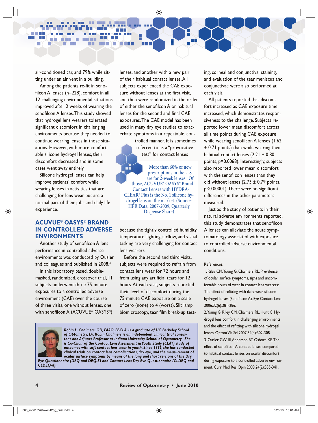air-conditioned car, and 79% while sitting under an air vent in a building.

**CONTRACTOR** 

**HH** 

m in n.

Among the patients re-fit in senofilcon A lenses ( $n=228$ ), comfort in all 12 challenging environmental situations improved after 2 weeks of wearing the senofilcon A lenses. This study showed that hydrogel lens wearers tolerated significant discomfort in challenging environments because they needed to continue wearing lenses in those situations. However, with more comfortable silicone hydrogel lenses, their discomfort decreased and in some cases went away entirely.

Silicone hydrogel lenses can help improve patients' comfort while wearing lenses in activities that are challenging for lens wear but are a normal part of their jobs and daily life experience.

# **ACUVUE® OASYS® BRAND IN CONTROLLED ADVERSE ENVIRONMENTS**

Another study of senofilcon A lens performance in controlled adverse environments was conducted by Ousler and colleagues and published in 2008.<sup>3</sup>

In this laboratory based, doublemasked, randomized, crossover trial, 11 subjects underwent three 75-minute exposures to a controlled adverse environment (CAE) over the course of three visits, one without lenses, one with senofilcon A (ACUVUE® OASYS®)

lenses, and another with a new pair of their habitual contact lenses. All subjects experienced the CAE exposure without lenses at the first visit, and then were randomized in the order of either the senofilcon A or habitual lenses for the second and final CAE exposures. The CAE model has been used in many dry eye studies to exacerbate symptoms in a repeatable, con-

۵D,

ПF

trolled manner. It is sometimes referred to as a "provocative test" for contact lenses

More than 60% of new prescriptions in the U.S. are for 2-week lenses. Of those, ACUVUE® OASYS® Brand Contact Lenses with HYDRA-CLEAR® Plus is the No. 1 silicone hydrogel lens on the market. (Source: HPR Data, 2007-2009, Quarterly Dispense Share)

because the tightly controlled humidity, temperature, lighting, airflow, and visual tasking are very challenging for contact lens wearers.

Before the second and third visits, subjects were required to refrain from contact lens wear for 72 hours and from using any artificial tears for 12 hours. At each visit, subjects reported their level of discomfort during the 75-minute CAE exposure on a scale of zero (none) to 4 (worst). Slit lamp biomicroscopy, tear film break-up test-

*Robin L. Chalmers, OD, FAAO, FBCLA, is a graduate of UC Berkeley School of Optometry, Dr. Robin Chalmers is an independent clinical trial consultant and Adjunct Professor at Indiana University School of Optometry. She is Co-Chair of the Contact Lens Assessment in Youth Study (CLAY) study of outcomes with soft contact lens wear in youth. Since 1985, she has conducted clinical trials on contact lens complications, dry eye, and the measurement of ocular surface symptoms by means of the long and short versions of the Dry* 

*Eye Questionnaire (DEQ and DEQ-5) and Contact Lens Dry Eye Questionnaire (CLDEQ and CLDEQ-8).* 

ing, corneal and conjunctival staining, and evaluation of the tear meniscus and conjunctivae were also performed at each visit.

All patients reported that discomfort increased as CAE exposure time increased, which demonstrates responsiveness to the challenge. Subjects reported lower mean discomfort across all time points during CAE exposure while wearing senofilcon A lenses (1.62) ± 0.71 points) than while wearing their habitual contact lenses  $(2.21 \pm 0.80)$ points, p=0.0068). Interestingly, subjects also reported lower mean discomfort with the senofilcon lenses than they did without lenses  $(2.73 \pm 0.79 \text{ points},$ p<0.00001). There were no significant differences in the other parameters measured.

Just as the study of patients in their natural adverse environments reported, this study demonstrates that senofilcon A lenses can alleviate the acute symptomatology associated with exposure to controlled adverse environmental conditions.

#### References:

1. Riley CM, Young G, Chalmers RL. Prevalence of ocular surface symptoms, signs and uncomfortable hours of wear in contact lens wearers: The effect of refitting with daily-wear silicone hydrogel lenses (Senofilcon A). Eye Contact Lens 2006;32(6):281-286.

2. Young G, Riley CM, Chalmers RL, Hunt C. Hydrogel lens comfort in challenging environments and the effect of refitting with silicone hydrogel lenses. Optom Vis Sci 2007;84(4):302-308.

3. Ousler GW III, Anderson RT, Osborn KE. The effect of senofilcon A contact lenses compared to habitual contact lenses on ocular discomfort during exposure to a controlled adverse environment. Curr Med Res Opin 2008;24(2):335-341.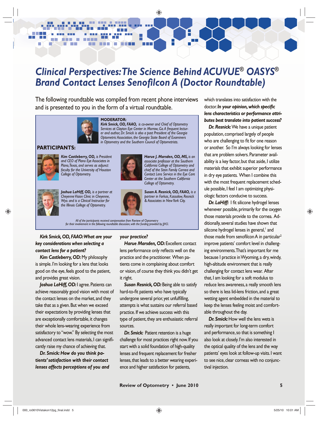# *Clinical Perspectives: The Science Behind ACUVUE® OASYS®* **Brand Contact Lenses Senofilcon A (Doctor Roundtable)**

H

The following roundtable was compiled from recent phone interviews and is presented to you in the form of a virtual roundtable.

n e s



m m

#### **MODERATOR:**

*Kirk Smick, OD, FAAO, is co-owner and Chief of Optometry Services at Clayton Eye Center in Morrow, Ga. A frequent lecturer and author, Dr. Smick is also a past President of the Georgia Optometric Association, the Georgia State Board of Examiners in Optometry and the Southern Council of Optometrists.*

#### **PARTICIPANTS:**



7 D D

m.

m in

**Contract Contract** 

n.

*Kim Castleberry, OD, is President and CEO of Plano Eye Associates in Plano, Texas, and serves as adjunct faculty for the University of Houston College of Optometry.* 



*Harue J. Marsden, OD, MS, is an associate professor at the Southern California College of Optometry and chief of the Stein Family Cornea and Contact Lens Service in the Eye Care Center at the Southern California College of Optometry.*



*Joshua LaHiff, OD, is a partner at Cheyenne Vision Clinic in Cheyenne, Wyo. and is a Clinical Instructor for the Illinois College of Optometry.* 



*Susan A. Resnick, OD, FAAO, is a partner in Farkas, Kassalow, Resnick & Associates in New York City.*

*All of the participants received compensation from* Review of Optometry *for their involvement in the following roundtable discussion, with the funding provided by JJVCI.*

*Kirk Smick, OD, FAAO: What are your key considerations when selecting a contact lens for a patient?*

*Kim Castleberry, OD:* My philosophy is simple. I'm looking for a lens that looks good on the eye, feels good to the patient, and provides great vision.

Joshua LaHiff, OD: I agree. Patients can achieve reasonably good vision with most of the contact lenses on the market, and they take that as a given. But when we exceed their expectations by providing lenses that are exceptionally comfortable, it changes their whole lens-wearing experience from satisfactory to "wow." By selecting the most advanced contact lens materials, I can significantly raise my chance of achieving that.

*Dr. Smick: How do you think patients' satisfaction with their contact lenses affects perceptions of you and* 

#### *your practice?*

*Harue Marsden, OD:* Excellent contact lens performance only reflects well on the practice and the practitioner. When patients come in complaining about comfort or vision, of course they think you didn't get it right.

*Susan Resnick, OD:* Being able to satisfy hard-to-fit patients who have typically undergone several prior, yet unfulfilling, attempts is what sustains our referral based practice. If we achieve success with this type of patient, they are enthusiastic referral sources.

*Dr. Smick:* Patient retention is a huge challenge for most practices right now. If you start with a solid foundation of high-quality lenses and frequent replacement for fresher lenses, that leads to a better wearing experience and higher satisfaction for patients,

which translates into satisfaction with the doctor. In your opinion, which specific *lens characteristics or performance attributes best translate into patient success?*

*Dr. Resnick:* We have a unique patient population, comprised largely of people who are challenging to fit for one reason or another. So I'm always looking for lenses that are problem solvers. Parameter availability is a key factor, but that aside, I utilize materials that exhibit superior performance in dry eye patients. When I combine this with the most frequent replacement schedule possible, I feel I am optimizing physiologic factors conducive to success.

**Dr. LaHiff:** I fit silicone hydrogel lenses whenever possible, primarily for the oxygen those materials provide to the cornea. Additionally, several studies have shown that silicone hydrogel lenses in general, and those made from senofilcon A in particular<sup>2</sup> improve patients' comfort level in challenging environments. That's important for me because I practice in Wyoming, a dry, windy, high-altitude environment that is really challenging for contact lens wear. After that, I am looking for a soft modulus to reduce lens awareness, a really smooth lens so there is less lid-lens friction, and a great wetting agent embedded in the material to keep the lenses feeling moist and comfortable throughout the day.

*Dr. Smick:* How well the lens wets is really important for long-term comfort and performance, so that is something I also look at closely. I'm also interested in the optical quality of the lens and the way patients' eyes look at follow-up visits. I want to see nice, clear corneas with no conjunctival injection.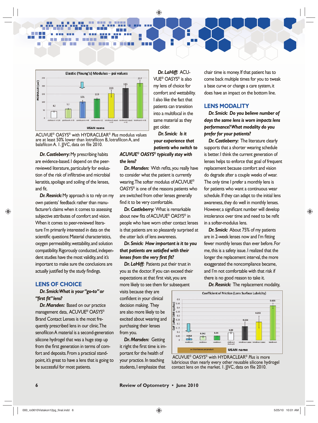

man i

۵D,

ПF

ACUVUE® OASYS® with HYDRACLEAR® *Plus* modulus values are at least 50% lower than lotrafilcon B, lotrafilcon A, and balafilcon A. I. JJVC, data on file 2010.

*Dr. Castleberry:* My prescribing habits are evidence-based. I depend on the peerreviewed literature, particularly for evaluation of the risk of infiltrative and microbial keratitis, spoilage and soiling of the lenses, and fit.

m. n

 $\blacksquare$ **The Co** 

*Dr. Resnick:* My approach is to rely on my own patients' feedback rather than manufacturer's claims when it comes to assessing subjective attributes of comfort and vision. When it comes to peer-reviewed literature I'm primarily interested in data on the scientific questions: Material characteristics, oxygen permeability, wettability, and solution compatibility. Rigorously conducted, independent studies have the most validity, and it's important to make sure the conclusions are actually justified by the study findings.

# **LENS OF CHOICE**

*Dr. Smick: What is your "go-to" or*  "first fit" lens?

*Dr. Marsden:* Based on our practice management data, ACUVUE® OASYS® Brand Contact Lenses is the most frequently prescribed lens in our clinic. The senofilcon A material is a second-generation silicone hydrogel that was a huge step up from the first generation in terms of comfort and deposits. From a practical standpoint, it's great to have a lens that is going to be successful for most patients.

*Dr. LaHiff:* ACU-VUE® OASYS® is also my lens of choice for comfort and wettability. I also like the fact that patients can transition into a multifocal in the same material as they get older.

*Dr. Smick: Is it your experience that patients who switch to* 

*ACUVUE® OASYS® typically stay with the lens?*

**Dr. Marsden:** With refits, you really have to consider what the patient is currently wearing. The softer modulus of ACUVUE® OASYS® is one of the reasons patients who are switched from other lenses generally find it to be very comfortable.

*Dr. Castleberry:* What is remarkable about new fits of ACUVUE<sup>®</sup> OASYS<sup>®</sup> in people who have worn other contact lenses is that patients are so pleasantly surprised at the utter lack of lens awareness.

*Dr. Smick: How important is it to you*  that patients are satisfied with their *lenses from the very first fit?* 

*Dr. LaHiff:* Patients put their trust in you as the doctor. If you can exceed their expectations at that first visit, you are more likely to see them for subsequent

visits because they are confident in your clinical decision making. They are also more likely to be excited about wearing and purchasing their lenses from you.

*Dr. Marsden:* Getting it right the first time is important for the health of your practice. In teaching students, I emphasize that

chair time is money. If that patient has to come back multiple times for you to tweak a base curve or change a care system, it does have an impact on the bottom line.

## **LENS MODALITY**

*Dr. Smick: Do you believe number of days the same lens is worn impacts lens performance? What modality do you prefer for your patients?*

**Dr. Castleberry:** The literature clearly supports that a shorter wearing schedule is better. I think the current generation of lenses helps to enforce that goal of frequent replacement because comfort and vision do degrade after a couple weeks of wear. The only time I prefer a monthly lens is for patients who want a continuous wear schedule. If they can adapt to the initial lens awareness, they do well in monthly lenses. However, a significant number will develop intolerance over time and need to be refit in a softer-modulus lens.

*Dr. Smick:* About 75% of my patients are in 2-week lenses now and I'm fitting fewer monthly lenses than ever before. For me, this is a safety issue. I realized that the longer the replacement interval, the more exaggerated the noncompliance became, and I'm not comfortable with that risk if there is no good reason to take it.

**Dr. Resnick:** The replacement modality,



 ACUVUE® OASYS® with HYDRACLEAR® *Plus* is more lubricious than nearly every other reusable silicone hydrogel contact lens on the market. I. JVC, data on file 2010.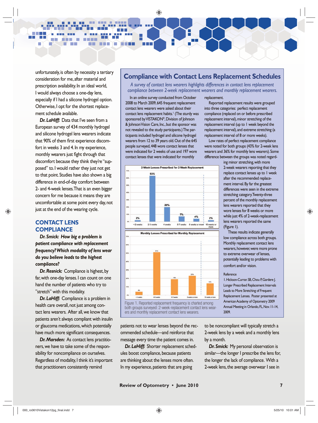unfortunately, is often by necessity a tertiary consideration for me, after material and prescription availability. In an ideal world, I would always choose a one-day lens, especially if I had a silicone hydrogel option. Otherwise, I opt for the shortest replacement schedule available.

**Contract Contract** 

m m

and the state

۰

m H

m.

*Dr. LaHiff:* Data that I've seen from a European survey of 434 monthly hydrogel and silicone hydrogel lens wearers indicate that 90% of them first experience discomfort in weeks 3 and 4. In my experience, monthly wearers just fight through that discomfort because they think they're "supposed" to. I would rather they just not get to that point. Studies have also shown a big difference in end-of-day comfort between 2- and 4-week lenses. That is an even bigger concern for me because it means they are uncomfortable at some point every day, not just at the end of the wearing cycle.

## **CONTACT LENS COMPLIANCE**

*Dr. Smick: How big a problem is patient compliance with replacement frequency? Which modality of lens wear do you believe leads to the highest compliance?* 

**Dr. Resnick:** Compliance is highest, by far, with one-day lenses. I can count on one hand the number of patients who try to "stretch" with this modality.

*Dr. LaHiff:* Compliance is a problem in health care overall, not just among contact lens wearers. After all, we know that patients aren't always compliant with insulin or glaucoma medications, which potentially have much more significant consequences.

*Dr. Marsden:* As contact lens practitioners, we have to take some of the responsibility for noncompliance on ourselves. Regardless of modality, I think it's important that practitioners consistently remind

# **Compliance with Contact Lens Replacement Schedules**

*A survey of contact lens wearers highlights differences in contact lens replacement compliance between 2-week replacement wearers and monthly replacement wearers.*

In an online survey conducted from October 2008 to March 2009, 645 frequent replacement contact lens wearers were asked about their contact lens replacement habits.<sup>1</sup> (The sturdy was sponsored by VISTAKON®, Division of Johnson & Johnson Vision Care, Inc., but the sponsor was not revealed to the study participants.) The participants included hydrogel and silicone hydrogel wearers from 12 to 39 years old. Out of the 645 people surveyed, 448 wore contact lenses that were indicated for 2 weeks of use and 197 wore contact lenses that were indicated for monthly

 $\frac{1}{\sqrt{2}}$ 





both groups surveyed: 2-week-replacement contact lens wearers and monthly replacement contact lens wearers.

patients not to wear lenses beyond the recommended schedule—and reinforce that message every time the patient comes in.

*Dr. LaHiff:* Shorter replacement schedules boost compliance, because patients are thinking about the lenses more often. In my experience, patients that are going

replacement.

Reported replacement results were grouped into three categories: perfect replacement compliance (replaced on or before prescribed replacement interval), minor stretching of the replacement interval (up to 1 week beyond the replacement interval), and extreme stretching (a replacement interval of 8 or more weeks).

Low rates of perfect replacement compliance were noted for both groups (43% for 2-week lens wearers and 36% for monthly lens wearers). Some difference between the groups was noted regard-

> ing minor stretching, with more 2-week wearers reporting that they replace contact lenses up to 1 week after the recommended replacement interval. By far the greatest differences were seen in the extreme stretching category. Twenty-three percent of the monthly replacement lens wearers reported that they wore lenses for 8 weeks or more while just 4% of 2-week-replacement lens wearers reported the same (Figure 1).

These results indicate generally low compliance across both groups. Monthly replacement contact lens wearers, however, were more prone to extreme overwear of lenses, potentially leading to problems with comfort and/or vision.

#### Reference

1. Hickson-Curran SB, Chou P, Gardere J. Longer Prescribed Replacement Intervals Leads to More Stretching of Frequent Replacement Lenses. Poster presented at American Academy of Optometry 2009 Annual Meeting in Orlando, FL, Nov. 11-14, 2009.

to be noncompliant will typically stretch a 2-week lens by a week and a monthly lens by a month.

**Dr. Smick:** My personal observation is similar—the longer I prescribe the lens for, the longer the lack of compliance. With a 2-week lens, the average overwear I see in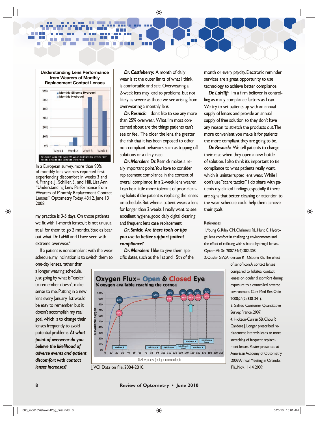**Understanding Lens Performance from Wearers of Monthly Replacement Contact Lenses** 60% **Monthly Silicone Hydrogel Monthly Hydrogel** 50% 40% 30% 20% 10%

m in n

no.

Week 1

**THE** 

man i

Research suggests patients wearing monthly lenses may<br>not be getting the comfort they need In a European survey, more than 90% of monthly lens wearers reported first experiencing discomfort in weeks 3 and 4. Frangie, J., Schiller, S., and Hill, Lisa Ann, "Understanding Lens Performance from Wearers of Monthly Replacement Contact Lenses", Optometry Today, 48:12, June 13 2008.

Week 2

Week 3

Week 4

my practice is 3-5 days. On those patients we fit with 1-month lenses, it is not unusual at all for them to go 2 months. Studies bear out what Dr. LaHiff and I have seen with extreme overwear.<sup>4</sup>

If a patient is noncompliant with the wear schedule, my inclination is to switch them to one-day lenses, rather than

a longer wearing schedule. Just going by what is "easier" to remember doesn't make sense to me. Putting in a new lens every January 1st would be easy to remember but it doesn't accomplish my real goal, which is to change their lenses frequently to avoid potential problems. *At what point of overwear do you believe the likelihood of adverse events and patient discomfort with contact lenses increases?*

*Dr. Castleberry:* A month of daily wear is at the outer limits of what I think is comfortable and safe. Overwearing a 2-week lens may lead to problems, but not likely as severe as those we see arising from overwearing a monthly lens.

۵D,

ПD

**Dr. Resnick:** I don't like to see any more than 25% overwear. What I'm most concerned about are the things patients can't see or feel. The older the lens, the greater the risk that it has been exposed to other non-compliant behaviors such as topping off solutions or a dirty case.

*Dr. Marsden:* Dr. Resnick makes a really important point. You have to consider replacement compliance in the context of overall compliance. In a 2-week lens wearer, I can be a little more tolerant of poor cleaning habits if the patient is replacing the lenses on schedule. But when a patient wears a lens for longer than 2 weeks, I really want to see excellent hygiene, good daily digital cleaning and frequent lens case replacement.

## *Dr. Smick: Are there tools or tips you use to better support patient compliance?*

*Dr. Marsden:* I like to give them spe $c$  cific dates, such as the 1st and 15th of the month or every payday. Electronic reminder services are a great opportunity to use technology to achieve better compliance.

**Dr. LaHiff:** I'm a firm believer in controlling as many compliance factors as I can. We try to set patients up with an annual supply of lenses and provide an annual supply of free solution so they don't have any reason to stretch the products out. The more convenient you make it for patients the more compliant they are going to be.

**Dr. Resnick:** We tell patients to change their case when they open a new bottle of solution. I also think it's important to tie compliance to what patients really want, which is uninterrupted lens wear. While I don't use "scare tactics," I do share with patients my clinical findings, especially if there are signs that better cleaning or attention to the wear schedule could help them achieve their goals.

#### **References**

1. Young G, Riley CM, Chalmers RL, Hunt C. Hydrogel lens comfort in challenging environments and the effect of refitting with silicone hydrogel lenses. Optom Vis Sci 2007;84(4):302-308.

2. Ousler GW, Anderson RT, Osborn KE. The effect

of senofilcon A contact lenses

compared to habitual contact lenses on ocular discomfort during exposure to a controlled adverse environment. Curr Med Res Opin 2008;24(2):338-341). 3. Galileo Consumer Quantitative Survey, France, 2007. 4. Hickson-Curran SB, Chou P, Gardere J. Longer prescribed replacement intervals leads to more stretching of frequent replacement lenses. Poster presented at American Academy of Optometry 2009 Annual Meeting in Orlando, Fla., Nov. 11-14, 2009.



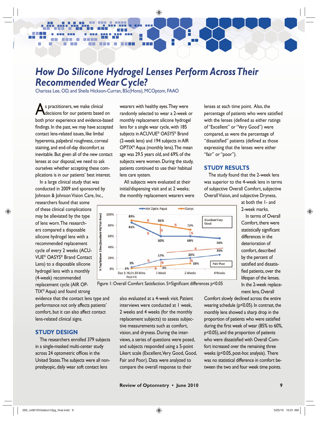# *How Do Silicone Hydrogel Lenses Perform Across Their Recommended Wear Cycle?*

e<br>T

Charissa Lee, OD, and Sheila Hickson-Curran, BSc(Hons), MCOptom, FAAO

**AS practitioners, we make clinical<br>decisions for our patients based on** both prior experience and evidence-based findings. In the past, we may have accepted contact lens-related issues, like limbal hyperemia, palpebral roughness, corneal staining, and end-of-day discomfort as inevitable. But given all of the new contact lenses at our disposal, we need to ask ourselves whether accepting these complications is in our patients' best interest.

 $\mathcal{L}_{\mathcal{A}}$ 

In a large clinical study that was conducted in 2009 and sponsored by Johnson & Johnson Vision Care, Inc.,

researchers found that some of these clinical complications may be alleviated by the type of lens worn. The researchers compared a disposable silicone hydrogel lens with a recommended replacement cycle of every 2 weeks (ACU-VUE® OASYS® Brand Contact Lens) to a disposable silicone hydrogel lens with a monthly (4-week) recommended replacement cycle (AIR OP-TIX® Aqua) and found strong

evidence that the contact lens type and performance not only affects patients' comfort, but it can also affect contact lens-related clinical signs.

# **STUDY DESIGN**

The researchers enrolled 379 subjects in a single-masked multi-center study across 24 optometric offices in the United States. The subjects were all nonpresbyopic, daily wear soft contact lens

wearers with healthy eyes. They were randomly selected to wear a 2-week or monthly replacement silicone hydrogel lens for a single wear cycle, with 185 subjects in ACUVUE® OASYS® Brand (2-week lens) and 194 subjects in AIR OPTIX® Aqua (monthly lens). The mean age was 29.5 years old, and 69% of the subjects were women. During the study, patients continued to use their habitual lens care system.

All subjects were evaluated at their initial/dispensing visit and at 2 weeks; the monthly replacement wearers were



Figure 1: Overall Comfort Satisfaction. S=Significant differences p<0.05

also evaluated at a 4-week visit. Patient interviews were conducted at 1 week, 2 weeks and 4 weeks (for the monthly replacement subjects) to assess subjective measurements such as comfort, vision, and dryness. During the interviews, a series of questions were posed, and subjects responded using a 5-point Likert scale (Excellent, Very Good, Good, Fair and Poor). Data were analyzed to compare the overall response to their

lenses at each time point. Also, the percentage of patients who were satisfied with the lenses (defined as either ratings of "Excellent" or "Very Good") were compared, as were the percentage of "dissatisfied" patients (defined as those expressing that the lenses were either "fair" or "poor").

#### **STUDY RESULTS**

The study found that the 2-week lens was superior to the 4-week lens in terms of subjective Overall Comfort, subjective Overall Vision, and subjective Dryness,

> at both the 1- and 2-week marks.

In terms of Overall Comfort, there were statistically significant differences in the deterioration of comfort, described by the percent of satisfied and dissatisfied patients, over the lifespan of the lenses. In the 2-week replacement lens, Overall

Comfort slowly declined across the entire wearing schedule (p<0.05). In contrast, the monthly lens showed a sharp drop in the proportion of patients who were satisfied during the first week of wear (85% to 60%, p<0.05), and the proportion of patients who were dissatisfied with Overall Comfort increased over the remaining three weeks (p<0.05, post-hoc analysis). There was no statistical difference in comfort between the two and four week time points.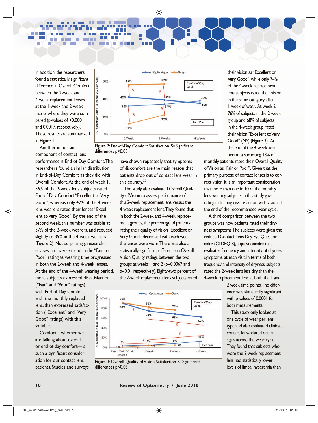In addition, the researchers found a statistically significant difference in Overall Comfort between the 2-week and 4-week replacement lenses at the 1-week and 2-week marks where they were compared (p-values of <0.0001 and 0.0017, respectively). These results are summarized in Figure 1.

 $\blacksquare$ **The Contract**  --

Fair-Poor

%Top/Bottom 2 Box (Excellent-VG/

n

Another important component of contact lens

performance is End-of-Day Comfort. The researchers found a similar distribution in End-of-Day Comfort as they did with Overall Comfort. At the end of week 1, 56% of the 2-week lens subjects rated End-of-Day Comfort "Excellent to Very Good", whereas only 42% of the 4-week lens wearers rated their lenses "Excellent to Very Good". By the end of the second week, this number was stable at 57% of the 2-week wearers, and reduced slightly to 39% in the 4-week wearers (Figure 2). Not surprisingly, researchers saw an inverse trend in the "Fair to Poor" rating as wearing time progressed in both the 2-week and 4-week lenses. At the end of the 4-week wearing period, more subjects expressed dissatisfaction

("Fair" and "Poor" ratings) with End-of-Day Comfort with the monthly replaced lens, than expressed satisfaction ("Excellent" and "Very Good" ratings) with this variable.

Poor)

%Top/Bottom 2 Box

Comfort—whether we are talking about overall or end-of-day comfort—is such a significant consideration for our contact lens patients. Studies and surveys





Т

have shown repeatedly that symptoms of discomfort are the main reason that patients drop out of contact lens wear in this country. $2,3$ 

The study also evaluated Overall Quality of Vision to assess performance of this 2-week replacement lens versus the 4-week replacement lens. They found that in both the 2-week and 4-week replacement groups, the percentage of patients rating their quality of vision "Excellent or Very Good" decreased with each week the lenses were worn. There was also a statistically significant difference in Overall Vision Quality ratings between the two groups at weeks 1 and 2 (p=0.0067 and p=0.01 respectively). Eighty-two percent of the 2-week replacement lens subjects rated





their vision as "Excellent or Very Good", while only 74% of the 4-week replacement lens subjects rated their vision in the same category after 1 week of wear. At week 2, 76% of subjects in the 2-week group and 68% of subjects in the 4-week group rated their vision "Excellent to Very Good" (NS) (Figure 3). At the end of the 4-week wear period, a surprising 13% of

monthly patients rated their Overall Quality of Vision as "Fair or Poor". Given that the primary purpose of contact lenses is to correct vision, it is an important consideration that more than one in 10 of the monthly lens wearing subjects in this study gave a rating indicating dissatisfaction with vision at the end of the recommended wear cycle.

A third comparison between the two groups was how patients rated their dryness symptoms. The subjects were given the reduced Contact Lens Dry Eye Questionnaire (CLDEQ-8), a questionnaire that evaluates frequency and intensity of dryness symptoms, at each visit. In terms of both frequency and intensity of dryness, subjects rated the 2-week lens less dry than the 4-week replacement lens at both the 1 and

> 2 week time points. The difference was statistically significant, with p-values of 0.0001 for both measurements.

> This study only looked at one cycle of wear per lens type and also evaluated clinical, contact lens-related ocular signs across the wear cycle. They found that subjects who wore the 2-week replacement lens had statistically lower levels of limbal hyperemia than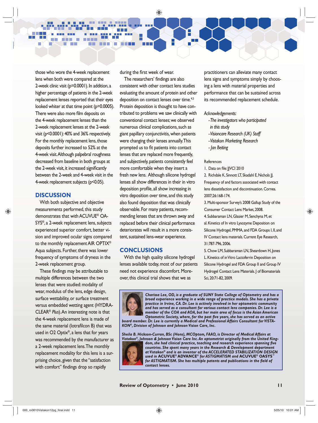those who wore the 4-week replacement lens when both were compared at the 2-week clinic visit (p=0.0001). In addition, a higher percentage of patients in the 2-week replacement lenses reported that their eyes looked whiter at that time point (p=0.0005). There were also more film deposits on the 4-week replacement lenses than the 2-week replacement lenses at the 2-week visit (p<0.0001): 40% and 36% respectively. For the monthly replacement lens, those deposits further increased to 52% at the 4-week visit. Although palpebral roughness decreased from baseline in both groups at the 2-week visit, it increased significantly between the 2-week and 4-week visit in the 4-week replacement subjects (p<0.05).

#### **DISCUSSION**

and the state

۰

m H

**THE REAL** 

m m

m.

With both subjective and objective measurements performed, this study demonstrates that with ACUVUE® OA-SYS®, a 2-week replacement lens, subjects experienced superior comfort, better vision and improved ocular signs compared to the monthly replacement AIR OPTIX® Aqua subjects. Further, there was lower frequency of symptoms of dryness in the 2-week replacement group.

These findings may be attributable to multiple differences between the two lenses that were studied: modality of wear, modulus of the lens, edge design, surface wettability, or surface treatment versus embedded wetting agent (HYDRA-CLEAR® *Plus*). An interesting note is that the 4-week replacement lens is made of the same material (lotrafilcon B) that was used in O2 Optix®, a lens that for years was recommended by the manufacturer as a 2-week replacement lens. The monthly replacement modality for this lens is a surprising choice, given that the "satisfaction with comfort" findings drop so rapidly

during the first week of wear.

÷,

**TER** 

The researchers' findings are also consistent with other contact lens studies evaluating the amount of protein and other deposition on contact lenses over time.<sup>4,5</sup> Protein deposition is thought to have contributed to problems we saw clinically with conventional contact lenses; we observed numerous clinical complications, such as giant papillary conjunctivitis, when patients were changing their lenses annually. This prompted us to fit patients into contact lenses that are replaced more frequently, and subjectively, patients consistently feel more comfortable when they insert a fresh new lens. Although silicone hydrogel lenses all show differences in their in vitro deposition profile, all show increasing in vitro deposition over time, and this study also found deposition that was clinically observable. For many patients, recommending lenses that are thrown away and replaced before their clinical performance deteriorates will result in a more consistent, sustained lens-wear experience.

## **CONCLUSIONS**

With the high quality silicone hydrogel lenses available today, most of our patients need not experience discomfort. Moreover, this clinical trial shows that we as

practitioners can alleviate many contact lens signs and symptoms simply by choosing a lens with material properties and performance that can be sustained across its recommended replacement schedule.

#### *Acknowledgements:*

- *The investigators who participated in this study*
- *Visioncare Research (UK) Staff*
- *Vistakon Marketing Research*
- *Jan Beiting*

#### References

1. Data on file: JVCI 2010

2. Richdale K, Sinnott LT, Skadahl E, Nichols JJ. Frequency of and factors associated with contact lens dissatisfaction and discontinuation. Cornea. 2007;26:168-174.

3. Multi-sponsor Survey's 2008 Gallup Study of the Consumer Contact Lens Market, 2008.

- 4. Subbaraman LN, Glasier M, Senchyna M, et al. Kinetics of In vitro Lysozyme Deposition on Silicone Hydrogel, PMMA, and FDA Groups I, II, and IV Contact lens materials. Current Eye Research, 31:787-796, 2006.
- 5. Chow LM, Subbaraman LN, Sheardown H, Jones L. Kinetics of in Vitro Lactoferrin Deposition on Silicone Hydrogel and FDA Group II and Group IV Hydrogel Contact Lens Materials. | of Biomaterials Sci, 20:71-82, 2009.

*Charissa Lee, OD, is a graduate of SUNY State College of Optometry and has a broad experience working in a wide range of practice modals. She has a private practice in Irvine, CA. Dr. Lee is actively involved in her optometric community and has served as a consultant for various contact lens companies. Dr. Lee is a member of the COA and AOA, but her main area of focus is the Asian American Optometric Society, where, for the past five years, she has served as an active* 

*board member. Dr. Lee is currently a Medical and Professional Affairs Consultant for VISTA-KON®, Division of Johnson and Johnson Vision Care, Inc.*

*Sheila B. Hickson-Curran, BSc (Hons), MCOptom, FAAO, is Director of Medical Affairs at Vistakon®, Johnson & Johnson Vision Care Inc. An optometrist originally from the United King*dom, she had clinical practice, teaching and research experience spanning five



*countries. She spent many years in the Research & Development department at Vistakon® and is an inventor of the ACCELERATED STABILIZATION DESIGN used in* **ACUVUE® ADVANCE®** *for ASTIGMATISM and* **ACUVUE® OASYS***™* for ASTIGMATISM. She has multiple patents and publications in the field of *contact lenses.*